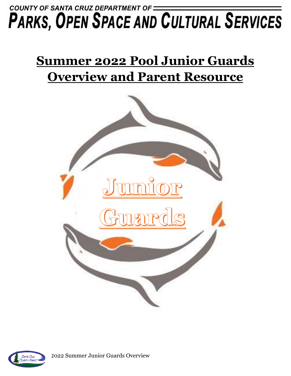## COUNTY OF SANTA CRUZ DEPARTMENT OF = **PARKS, OPEN SPACE AND CULTURAL SERVICES**

# **Summer 2022 Pool Junior Guards Overview and Parent Resource**





2022 Summer Junior Guards Overview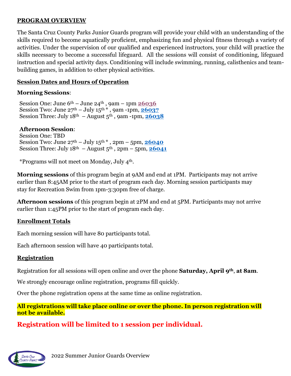#### **PROGRAM OVERVIEW**

The Santa Cruz County Parks Junior Guards program will provide your child with an understanding of the skills required to become aquatically proficient, emphasizing fun and physical fitness through a variety of activities. Under the supervision of our qualified and experienced instructors, your child will practice the skills necessary to become a successful lifeguard. All the sessions will consist of conditioning, lifeguard instruction and special activity days. Conditioning will include swimming, running, calisthenics and teambuilding games, in addition to other physical activities.

### **Session Dates and Hours of Operation**

#### **Morning Sessions**:

Session One: June 6th – June 24th , 9am – 1pm **[26036](https://anc.apm.activecommunities.com/santacruzcountyparks/activity/search/detail/21040?onlineSiteId=0&from_original_cui=true)** Session Two: June  $27<sup>th</sup> - July 15<sup>th</sup> *$ , 9am -1pm,  $26037$ Session Three: July  $18^{th}$  – August  $5^{th}$ , 9am -1pm,  $26038$ 

#### **Afternoon Session**:

Session One: TBD Session Two: June  $27<sup>th</sup> - July 15<sup>th</sup> *$ ,  $2pm - 5pm$ ,  $26040$ Session Three: July  $18<sup>th</sup>$  – August  $5<sup>th</sup>$ ,  $2pm$  –  $5pm$ ,  $26041$ 

\*Programs will not meet on Monday, July 4th.

**Morning sessions** of this program begin at 9AM and end at 1PM. Participants may not arrive earlier than 8:45AM prior to the start of program each day. Morning session participants may stay for Recreation Swim from 1pm-3:30pm free of charge.

**Afternoon sessions** of this program begin at 2PM and end at 5PM. Participants may not arrive earlier than 1:45PM prior to the start of program each day.

#### **Enrollment Totals**

Each morning session will have 80 participants total.

Each afternoon session will have 40 participants total.

#### **Registration**

Registration for all sessions will open online and over the phone **Saturday, April 9th**, **at 8am**.

We strongly encourage online registration, programs fill quickly.

Over the phone registration opens at the same time as online registration.

#### **All registrations will take place online or over the phone. In person registration will not be available.**

## **Registration will be limited to 1 session per individual.**

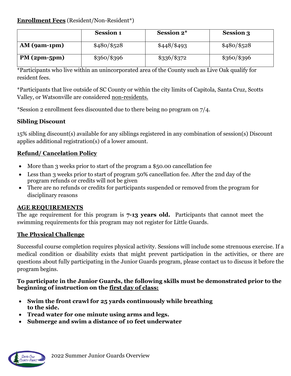### **Enrollment Fees** (Resident/Non-Resident\*)

|                | <b>Session 1</b> | <b>Session 2*</b> | <b>Session 3</b> |
|----------------|------------------|-------------------|------------------|
| $AM$ (9am-1pm) | $$480/\$528$     | \$448/\$493       | $$480/\$528$     |
| $PM(2pm-5pm)$  | $$360/\$396$     | $\$336/\$372$     | \$360/\$396      |

\*Participants who live within an unincorporated area of the County such as Live Oak qualify for resident fees.

\*Participants that live outside of SC County or within the city limits of Capitola, Santa Cruz, Scotts Valley, or Watsonville are considered non-residents.

\*Session 2 enrollment fees discounted due to there being no program on 7/4.

## **Sibling Discount**

15% sibling discount(s) available for any siblings registered in any combination of session(s) Discount applies additional registration(s) of a lower amount.

## **Refund/ Cancelation Policy**

- More than 3 weeks prior to start of the program a \$50.00 cancellation fee
- Less than 3 weeks prior to start of program 50% cancellation fee. After the 2nd day of the program refunds or credits will not be given
- There are no refunds or credits for participants suspended or removed from the program for disciplinary reasons

## **AGE REQUIREMENTS**

The age requirement for this program is **7-13 years old.** Participants that cannot meet the swimming requirements for this program may not register for Little Guards.

## **The Physical Challenge**

Successful course completion requires physical activity. Sessions will include some strenuous exercise. If a medical condition or disability exists that might prevent participation in the activities, or there are questions about fully participating in the Junior Guards program, please contact us to discuss it before the program begins.

#### **To participate in the Junior Guards, the following skills must be demonstrated prior to the beginning of instruction on the first day of class:**

- **Swim the front crawl for 25 yards continuously while breathing to the side.**
- **Tread water for one minute using arms and legs.**
- **Submerge and swim a distance of 10 feet underwater**

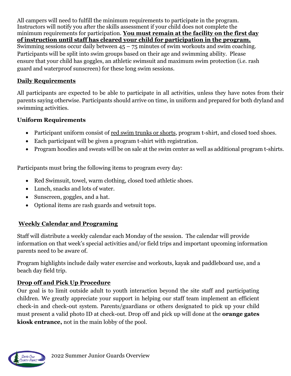All campers will need to fulfill the minimum requirements to participate in the program. Instructors will notify you after the skills assessment if your child does not complete the minimum requirements for participation. **You must remain at the facility on the first day of instruction until staff has cleared your child for participation in the program.** Swimming sessions occur daily between  $45 - 75$  minutes of swim workouts and swim coaching. Participants will be split into swim groups based on their age and swimming ability. Please ensure that your child has goggles, an athletic swimsuit and maximum swim protection (i.e. rash guard and waterproof sunscreen) for these long swim sessions.

## **Daily Requirements**

All participants are expected to be able to participate in all activities, unless they have notes from their parents saying otherwise. Participants should arrive on time, in uniform and prepared for both dryland and swimming activities.

## **Uniform Requirements**

- Participant uniform consist of <u>red swim trunks or shorts</u>, program t-shirt, and closed toed shoes.
- Each participant will be given a program t-shirt with registration.
- Program hoodies and sweats will be on sale at the swim center as well as additional program t-shirts.

Participants must bring the following items to program every day:

- Red Swimsuit, towel, warm clothing, closed toed athletic shoes.
- Lunch, snacks and lots of water.
- Sunscreen, goggles, and a hat.
- Optional items are rash guards and wetsuit tops.

## **Weekly Calendar and Programing**

Staff will distribute a weekly calendar each Monday of the session. The calendar will provide information on that week's special activities and/or field trips and important upcoming information parents need to be aware of.

Program highlights include daily water exercise and workouts, kayak and paddleboard use, and a beach day field trip.

## **Drop off and Pick Up Procedure**

Our goal is to limit outside adult to youth interaction beyond the site staff and participating children. We greatly appreciate your support in helping our staff team implement an efficient check-in and check-out system. Parents/guardians or others designated to pick up your child must present a valid photo ID at check-out. Drop off and pick up will done at the **orange gates kiosk entrance,** not in the main lobby of the pool.